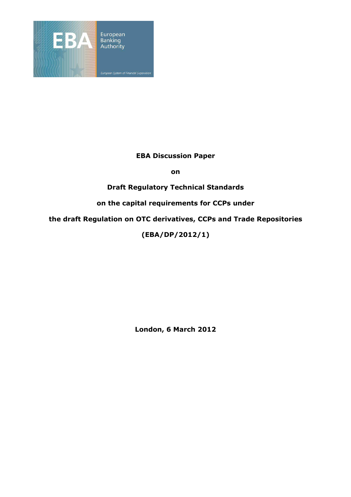

### **EBA Discussion Paper**

**on** 

**Draft Regulatory Technical Standards** 

**on the capital requirements for CCPs under** 

**the draft Regulation on OTC derivatives, CCPs and Trade Repositories** 

**(EBA/DP/2012/1)** 

**London, 6 March 2012**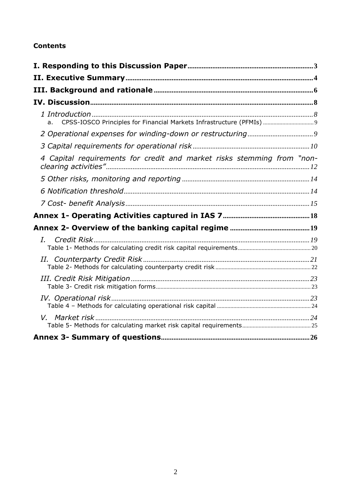## **Contents**

| CPSS-IOSCO Principles for Financial Markets Infrastructure (PFMIs)  9<br>a. |  |
|-----------------------------------------------------------------------------|--|
|                                                                             |  |
|                                                                             |  |
| 4 Capital requirements for credit and market risks stemming from "non-      |  |
|                                                                             |  |
|                                                                             |  |
|                                                                             |  |
|                                                                             |  |
|                                                                             |  |
| $I_{\cdot}$                                                                 |  |
|                                                                             |  |
|                                                                             |  |
|                                                                             |  |
|                                                                             |  |
|                                                                             |  |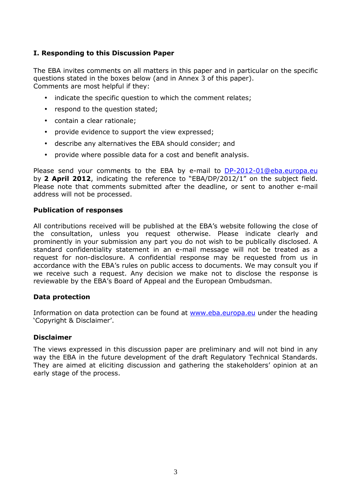### **I. Responding to this Discussion Paper**

The EBA invites comments on all matters in this paper and in particular on the specific questions stated in the boxes below (and in Annex 3 of this paper). Comments are most helpful if they:

- indicate the specific question to which the comment relates;
- respond to the question stated;
- contain a clear rationale;
- provide evidence to support the view expressed;
- describe any alternatives the EBA should consider; and
- provide where possible data for a cost and benefit analysis.

Please send your comments to the EBA by e-mail to DP-2012-01@eba.europa.eu by **2 April 2012**, indicating the reference to "EBA/DP/2012/1" on the subject field. Please note that comments submitted after the deadline, or sent to another e-mail address will not be processed.

#### **Publication of responses**

All contributions received will be published at the EBA's website following the close of the consultation, unless you request otherwise. Please indicate clearly and prominently in your submission any part you do not wish to be publically disclosed. A standard confidentiality statement in an e-mail message will not be treated as a request for non-disclosure. A confidential response may be requested from us in accordance with the EBA's rules on public access to documents. We may consult you if we receive such a request. Any decision we make not to disclose the response is reviewable by the EBA's Board of Appeal and the European Ombudsman.

#### **Data protection**

Information on data protection can be found at www.eba.europa.eu under the heading 'Copyright & Disclaimer'.

#### **Disclaimer**

The views expressed in this discussion paper are preliminary and will not bind in any way the EBA in the future development of the draft Regulatory Technical Standards. They are aimed at eliciting discussion and gathering the stakeholders' opinion at an early stage of the process.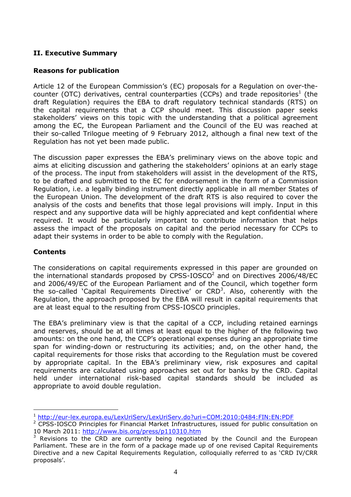## **II. Executive Summary**

### **Reasons for publication**

Article 12 of the European Commission's (EC) proposals for a Regulation on over-thecounter (OTC) derivatives, central counterparties (CCPs) and trade repositories<sup>1</sup> (the draft Regulation) requires the EBA to draft regulatory technical standards (RTS) on the capital requirements that a CCP should meet. This discussion paper seeks stakeholders' views on this topic with the understanding that a political agreement among the EC, the European Parliament and the Council of the EU was reached at their so-called Trilogue meeting of 9 February 2012, although a final new text of the Regulation has not yet been made public.

The discussion paper expresses the EBA's preliminary views on the above topic and aims at eliciting discussion and gathering the stakeholders' opinions at an early stage of the process. The input from stakeholders will assist in the development of the RTS, to be drafted and submitted to the EC for endorsement in the form of a Commission Regulation, i.e. a legally binding instrument directly applicable in all member States of the European Union. The development of the draft RTS is also required to cover the analysis of the costs and benefits that those legal provisions will imply. Input in this respect and any supportive data will be highly appreciated and kept confidential where required. It would be particularly important to contribute information that helps assess the impact of the proposals on capital and the period necessary for CCPs to adapt their systems in order to be able to comply with the Regulation.

#### **Contents**

 $\overline{a}$ 

The considerations on capital requirements expressed in this paper are grounded on the international standards proposed by CPSS-IOSCO<sup>2</sup> and on Directives 2006/48/EC and 2006/49/EC of the European Parliament and of the Council, which together form the so-called `Capital Requirements Directive' or CRD<sup>3</sup>. Also, coherently with the Regulation, the approach proposed by the EBA will result in capital requirements that are at least equal to the resulting from CPSS-IOSCO principles.

The EBA's preliminary view is that the capital of a CCP, including retained earnings and reserves, should be at all times at least equal to the higher of the following two amounts: on the one hand, the CCP's operational expenses during an appropriate time span for winding-down or restructuring its activities; and, on the other hand, the capital requirements for those risks that according to the Regulation must be covered by appropriate capital. In the EBA's preliminary view, risk exposures and capital requirements are calculated using approaches set out for banks by the CRD. Capital held under international risk-based capital standards should be included as appropriate to avoid double regulation.

<sup>1</sup> http://eur-lex.europa.eu/LexUriServ/LexUriServ.do?uri=COM:2010:0484:FIN:EN:PDF

<sup>&</sup>lt;sup>2</sup> CPSS-IOSCO Principles for Financial Market Infrastructures, issued for public consultation on 10 March 2011: http://www.bis.org/press/p110310.htm

 $3$  Revisions to the CRD are currently being negotiated by the Council and the European Parliament. These are in the form of a package made up of one revised Capital Requirements Directive and a new Capital Requirements Regulation, colloquially referred to as 'CRD IV/CRR proposals'.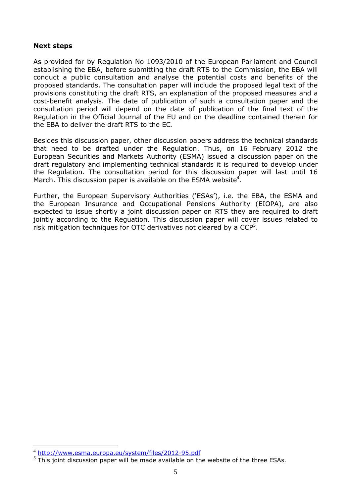#### **Next steps**

As provided for by Regulation No 1093/2010 of the European Parliament and Council establishing the EBA, before submitting the draft RTS to the Commission, the EBA will conduct a public consultation and analyse the potential costs and benefits of the proposed standards. The consultation paper will include the proposed legal text of the provisions constituting the draft RTS, an explanation of the proposed measures and a cost-benefit analysis. The date of publication of such a consultation paper and the consultation period will depend on the date of publication of the final text of the Regulation in the Official Journal of the EU and on the deadline contained therein for the EBA to deliver the draft RTS to the EC.

Besides this discussion paper, other discussion papers address the technical standards that need to be drafted under the Regulation. Thus, on 16 February 2012 the European Securities and Markets Authority (ESMA) issued a discussion paper on the draft regulatory and implementing technical standards it is required to develop under the Regulation. The consultation period for this discussion paper will last until 16 March. This discussion paper is available on the ESMA website<sup>4</sup>.

Further, the European Supervisory Authorities ('ESAs'), i.e. the EBA, the ESMA and the European Insurance and Occupational Pensions Authority (EIOPA), are also expected to issue shortly a joint discussion paper on RTS they are required to draft jointly according to the Reguation. This discussion paper will cover issues related to risk mitigation techniques for OTC derivatives not cleared by a  $\mathsf{CCP}^5$ .

 $\overline{a}$ 

<sup>4</sup> http://www.esma.europa.eu/system/files/2012-95.pdf

<sup>&</sup>lt;sup>5</sup> This joint discussion paper will be made available on the website of the three ESAs.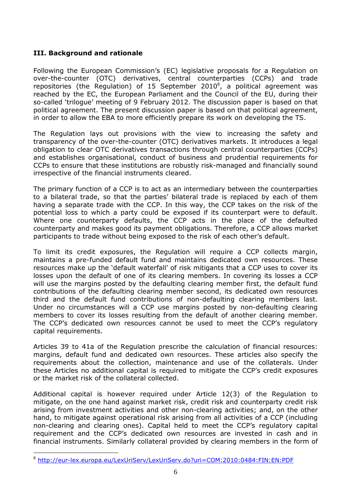### **III. Background and rationale**

Following the European Commission's (EC) legislative proposals for a Regulation on over-the-counter (OTC) derivatives, central counterparties (CCPs) and trade repositories (the Regulation) of 15 September 2010<sup>6</sup>, a political agreement was reached by the EC, the European Parliament and the Council of the EU, during their so-called 'trilogue' meeting of 9 February 2012. The discussion paper is based on that political agreement. The present discussion paper is based on that political agreement, in order to allow the EBA to more efficiently prepare its work on developing the TS.

The Regulation lays out provisions with the view to increasing the safety and transparency of the over-the-counter (OTC) derivatives markets. It introduces a legal obligation to clear OTC derivatives transactions through central counterparties (CCPs) and establishes organisational, conduct of business and prudential requirements for CCPs to ensure that these institutions are robustly risk-managed and financially sound irrespective of the financial instruments cleared.

The primary function of a CCP is to act as an intermediary between the counterparties to a bilateral trade, so that the parties' bilateral trade is replaced by each of them having a separate trade with the CCP. In this way, the CCP takes on the risk of the potential loss to which a party could be exposed if its counterpart were to default. Where one counterparty defaults, the CCP acts in the place of the defaulted counterparty and makes good its payment obligations. Therefore, a CCP allows market participants to trade without being exposed to the risk of each other's default.

To limit its credit exposures, the Regulation will require a CCP collects margin, maintains a pre-funded default fund and maintains dedicated own resources. These resources make up the 'default waterfall' of risk mitigants that a CCP uses to cover its losses upon the default of one of its clearing members. In covering its losses a CCP will use the margins posted by the defaulting clearing member first, the default fund contributions of the defaulting clearing member second, its dedicated own resources third and the default fund contributions of non-defaulting clearing members last. Under no circumstances will a CCP use margins posted by non-defaulting clearing members to cover its losses resulting from the default of another clearing member. The CCP's dedicated own resources cannot be used to meet the CCP's regulatory capital requirements.

Articles 39 to 41a of the Regulation prescribe the calculation of financial resources: margins, default fund and dedicated own resources. These articles also specify the requirements about the collection, maintenance and use of the collaterals. Under these Articles no additional capital is required to mitigate the CCP's credit exposures or the market risk of the collateral collected.

Additional capital is however required under Article 12(3) of the Regulation to mitigate, on the one hand against market risk, credit risk and counterparty credit risk arising from investment activities and other non-clearing activities; and, on the other hand, to mitigate against operational risk arising from all activities of a CCP (including non-clearing and clearing ones). Capital held to meet the CCP's regulatory capital requirement and the CCP's dedicated own resources are invested in cash and in financial instruments. Similarly collateral provided by clearing members in the form of

 $\overline{a}$ 

<sup>6</sup> http://eur-lex.europa.eu/LexUriServ/LexUriServ.do?uri=COM:2010:0484:FIN:EN:PDF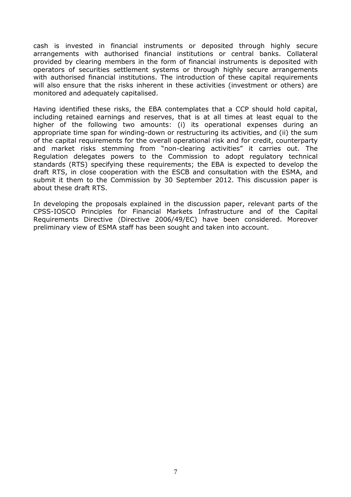cash is invested in financial instruments or deposited through highly secure arrangements with authorised financial institutions or central banks. Collateral provided by clearing members in the form of financial instruments is deposited with operators of securities settlement systems or through highly secure arrangements with authorised financial institutions. The introduction of these capital requirements will also ensure that the risks inherent in these activities (investment or others) are monitored and adequately capitalised.

Having identified these risks, the EBA contemplates that a CCP should hold capital, including retained earnings and reserves, that is at all times at least equal to the higher of the following two amounts: (i) its operational expenses during an appropriate time span for winding-down or restructuring its activities, and (ii) the sum of the capital requirements for the overall operational risk and for credit, counterparty and market risks stemming from "non-clearing activities" it carries out. The Regulation delegates powers to the Commission to adopt regulatory technical standards (RTS) specifying these requirements; the EBA is expected to develop the draft RTS, in close cooperation with the ESCB and consultation with the ESMA, and submit it them to the Commission by 30 September 2012. This discussion paper is about these draft RTS.

In developing the proposals explained in the discussion paper, relevant parts of the CPSS-IOSCO Principles for Financial Markets Infrastructure and of the Capital Requirements Directive (Directive 2006/49/EC) have been considered. Moreover preliminary view of ESMA staff has been sought and taken into account.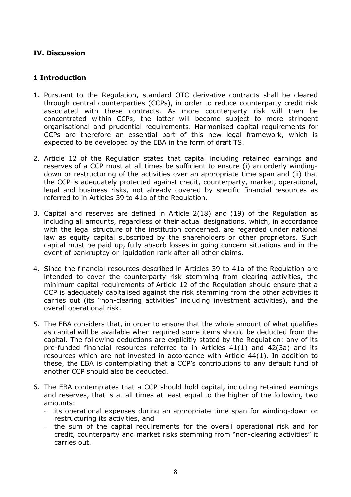### **IV. Discussion**

### **1 Introduction**

- 1. Pursuant to the Regulation, standard OTC derivative contracts shall be cleared through central counterparties (CCPs), in order to reduce counterparty credit risk associated with these contracts. As more counterparty risk will then be concentrated within CCPs, the latter will become subject to more stringent organisational and prudential requirements. Harmonised capital requirements for CCPs are therefore an essential part of this new legal framework, which is expected to be developed by the EBA in the form of draft TS.
- 2. Article 12 of the Regulation states that capital including retained earnings and reserves of a CCP must at all times be sufficient to ensure (i) an orderly windingdown or restructuring of the activities over an appropriate time span and (ii) that the CCP is adequately protected against credit, counterparty, market, operational, legal and business risks, not already covered by specific financial resources as referred to in Articles 39 to 41a of the Regulation.
- 3. Capital and reserves are defined in Article 2(18) and (19) of the Regulation as including all amounts, regardless of their actual designations, which, in accordance with the legal structure of the institution concerned, are regarded under national law as equity capital subscribed by the shareholders or other proprietors. Such capital must be paid up, fully absorb losses in going concern situations and in the event of bankruptcy or liquidation rank after all other claims.
- 4. Since the financial resources described in Articles 39 to 41a of the Regulation are intended to cover the counterparty risk stemming from clearing activities, the minimum capital requirements of Article 12 of the Regulation should ensure that a CCP is adequately capitalised against the risk stemming from the other activities it carries out (its "non-clearing activities" including investment activities), and the overall operational risk.
- 5. The EBA considers that, in order to ensure that the whole amount of what qualifies as capital will be available when required some items should be deducted from the capital. The following deductions are explicitly stated by the Regulation: any of its pre-funded financial resources referred to in Articles 41(1) and 42(3a) and its resources which are not invested in accordance with Article 44(1). In addition to these, the EBA is contemplating that a CCP's contributions to any default fund of another CCP should also be deducted.
- 6. The EBA contemplates that a CCP should hold capital, including retained earnings and reserves, that is at all times at least equal to the higher of the following two amounts:
	- its operational expenses during an appropriate time span for winding-down or restructuring its activities, and
	- the sum of the capital requirements for the overall operational risk and for credit, counterparty and market risks stemming from "non-clearing activities" it carries out.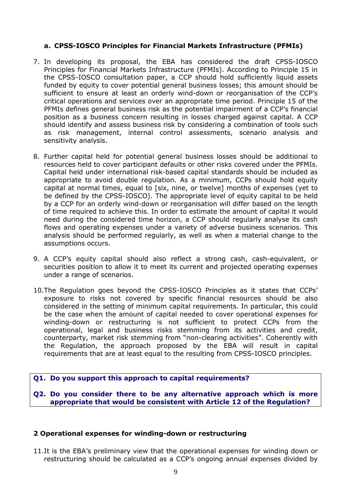### **a. CPSS-IOSCO Principles for Financial Markets Infrastructure (PFMIs)**

- 7. In developing its proposal, the EBA has considered the draft CPSS-IOSCO Principles for Financial Markets Infrastructure (PFMIs). According to Principle 15 in the CPSS-IOSCO consultation paper, a CCP should hold sufficiently liquid assets funded by equity to cover potential general business losses; this amount should be sufficient to ensure at least an orderly wind-down or reorganisation of the CCP's critical operations and services over an appropriate time period. Principle 15 of the PFMIs defines general business risk as the potential impairment of a CCP's financial position as a business concern resulting in losses charged against capital. A CCP should identify and assess business risk by considering a combination of tools such as risk management, internal control assessments, scenario analysis and sensitivity analysis.
- 8. Further capital held for potential general business losses should be additional to resources held to cover participant defaults or other risks covered under the PFMIs. Capital held under international risk-based capital standards should be included as appropriate to avoid double regulation. As a minimum, CCPs should hold equity capital at normal times, equal to [six, nine, or twelve] months of expenses (yet to be defined by the CPSS-IOSCO). The appropriate level of equity capital to be held by a CCP for an orderly wind-down or reorganisation will differ based on the length of time required to achieve this. In order to estimate the amount of capital it would need during the considered time horizon, a CCP should regularly analyse its cash flows and operating expenses under a variety of adverse business scenarios. This analysis should be performed regularly, as well as when a material change to the assumptions occurs.
- 9. A CCP's equity capital should also reflect a strong cash, cash-equivalent, or securities position to allow it to meet its current and projected operating expenses under a range of scenarios.
- 10.The Regulation goes beyond the CPSS-IOSCO Principles as it states that CCPs' exposure to risks not covered by specific financial resources should be also considered in the setting of minimum capital requirements. In particular, this could be the case when the amount of capital needed to cover operational expenses for winding-down or restructuring is not sufficient to protect CCPs from the operational, legal and business risks stemming from its activities and credit, counterparty, market risk stemming from "non-clearing activities". Coherently with the Regulation, the approach proposed by the EBA will result in capital requirements that are at least equal to the resulting from CPSS-IOSCO principles.

#### **Q1. Do you support this approach to capital requirements?**

**Q2. Do you consider there to be any alternative approach which is more appropriate that would be consistent with Article 12 of the Regulation?** 

#### **2 Operational expenses for winding-down or restructuring**

11.It is the EBA's preliminary view that the operational expenses for winding down or restructuring should be calculated as a CCP's ongoing annual expenses divided by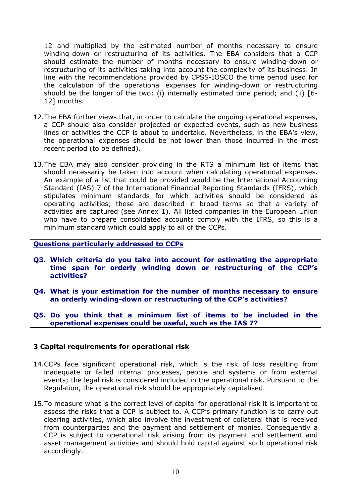12 and multiplied by the estimated number of months necessary to ensure winding-down or restructuring of its activities. The EBA considers that a CCP should estimate the number of months necessary to ensure winding-down or restructuring of its activities taking into account the complexity of its business. In line with the recommendations provided by CPSS-IOSCO the time period used for the calculation of the operational expenses for winding-down or restructuring should be the longer of the two: (i) internally estimated time period; and (ii) [6- 12] months.

- 12.The EBA further views that, in order to calculate the ongoing operational expenses, a CCP should also consider projected or expected events, such as new business lines or activities the CCP is about to undertake. Nevertheless, in the EBA's view, the operational expenses should be not lower than those incurred in the most recent period (to be defined).
- 13.The EBA may also consider providing in the RTS a minimum list of items that should necessarily be taken into account when calculating operational expenses. An example of a list that could be provided would be the International Accounting Standard (IAS) 7 of the International Financial Reporting Standards (IFRS), which stipulates minimum standards for which activities should be considered as operating activities; these are described in broad terms so that a variety of activities are captured (see Annex 1). All listed companies in the European Union who have to prepare consolidated accounts comply with the IFRS, so this is a minimum standard which could apply to all of the CCPs.

#### **Questions particularly addressed to CCPs**

- **Q3. Which criteria do you take into account for estimating the appropriate time span for orderly winding down or restructuring of the CCP's activities?**
- **Q4. What is your estimation for the number of months necessary to ensure an orderly winding-down or restructuring of the CCP's activities?**
- **Q5. Do you think that a minimum list of items to be included in the operational expenses could be useful, such as the IAS 7?**

#### **3 Capital requirements for operational risk**

- 14.CCPs face significant operational risk, which is the risk of loss resulting from inadequate or failed internal processes, people and systems or from external events; the legal risk is considered included in the operational risk. Pursuant to the Regulation, the operational risk should be appropriately capitalised.
- 15.To measure what is the correct level of capital for operational risk it is important to assess the risks that a CCP is subject to. A CCP's primary function is to carry out clearing activities, which also involve the investment of collateral that is received from counterparties and the payment and settlement of monies. Consequently a CCP is subject to operational risk arising from its payment and settlement and asset management activities and should hold capital against such operational risk accordingly.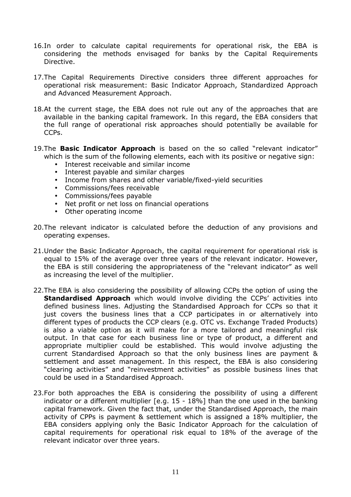- 16.In order to calculate capital requirements for operational risk, the EBA is considering the methods envisaged for banks by the Capital Requirements Directive.
- 17.The Capital Requirements Directive considers three different approaches for operational risk measurement: Basic Indicator Approach, Standardized Approach and Advanced Measurement Approach.
- 18.At the current stage, the EBA does not rule out any of the approaches that are available in the banking capital framework. In this regard, the EBA considers that the full range of operational risk approaches should potentially be available for CCPs.
- 19.The **Basic Indicator Approach** is based on the so called "relevant indicator" which is the sum of the following elements, each with its positive or negative sign:
	- Interest receivable and similar income
	- Interest payable and similar charges
	- Income from shares and other variable/fixed-yield securities
	- Commissions/fees receivable
	- Commissions/fees payable
	- Net profit or net loss on financial operations
	- Other operating income
- 20.The relevant indicator is calculated before the deduction of any provisions and operating expenses.
- 21.Under the Basic Indicator Approach, the capital requirement for operational risk is equal to 15% of the average over three years of the relevant indicator. However, the EBA is still considering the appropriateness of the "relevant indicator" as well as increasing the level of the multiplier.
- 22.The EBA is also considering the possibility of allowing CCPs the option of using the **Standardised Approach** which would involve dividing the CCPs' activities into defined business lines. Adjusting the Standardised Approach for CCPs so that it just covers the business lines that a CCP participates in or alternatively into different types of products the CCP clears (e.g. OTC vs. Exchange Traded Products) is also a viable option as it will make for a more tailored and meaningful risk output. In that case for each business line or type of product, a different and appropriate multiplier could be established. This would involve adjusting the current Standardised Approach so that the only business lines are payment & settlement and asset management. In this respect, the EBA is also considering "clearing activities" and "reinvestment activities" as possible business lines that could be used in a Standardised Approach.
- 23.For both approaches the EBA is considering the possibility of using a different indicator or a different multiplier [e.g. 15 - 18%] than the one used in the banking capital framework. Given the fact that, under the Standardised Approach, the main activity of CPPs is payment & settlement which is assigned a 18% multiplier, the EBA considers applying only the Basic Indicator Approach for the calculation of capital requirements for operational risk equal to 18% of the average of the relevant indicator over three years.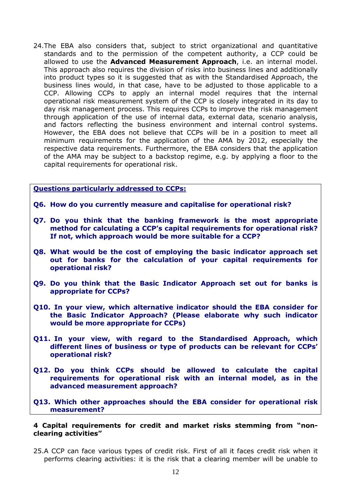24.The EBA also considers that, subject to strict organizational and quantitative standards and to the permission of the competent authority, a CCP could be allowed to use the **Advanced Measurement Approach**, i.e. an internal model. This approach also requires the division of risks into business lines and additionally into product types so it is suggested that as with the Standardised Approach, the business lines would, in that case, have to be adjusted to those applicable to a CCP. Allowing CCPs to apply an internal model requires that the internal operational risk measurement system of the CCP is closely integrated in its day to day risk management process. This requires CCPs to improve the risk management through application of the use of internal data, external data, scenario analysis, and factors reflecting the business environment and internal control systems. However, the EBA does not believe that CCPs will be in a position to meet all minimum requirements for the application of the AMA by 2012, especially the respective data requirements. Furthermore, the EBA considers that the application of the AMA may be subject to a backstop regime, e.g. by applying a floor to the capital requirements for operational risk.

**Questions particularly addressed to CCPs:**

- **Q6. How do you currently measure and capitalise for operational risk?**
- **Q7. Do you think that the banking framework is the most appropriate method for calculating a CCP's capital requirements for operational risk? If not, which approach would be more suitable for a CCP?**
- **Q8. What would be the cost of employing the basic indicator approach set out for banks for the calculation of your capital requirements for operational risk?**
- **Q9. Do you think that the Basic Indicator Approach set out for banks is appropriate for CCPs?**
- **Q10. In your view, which alternative indicator should the EBA consider for the Basic Indicator Approach? (Please elaborate why such indicator would be more appropriate for CCPs)**
- **Q11. In your view, with regard to the Standardised Approach, which different lines of business or type of products can be relevant for CCPs' operational risk?**
- **Q12. Do you think CCPs should be allowed to calculate the capital requirements for operational risk with an internal model, as in the advanced measurement approach?**
- **Q13. Which other approaches should the EBA consider for operational risk measurement?**

#### **4 Capital requirements for credit and market risks stemming from "nonclearing activities"**

25.A CCP can face various types of credit risk. First of all it faces credit risk when it performs clearing activities: it is the risk that a clearing member will be unable to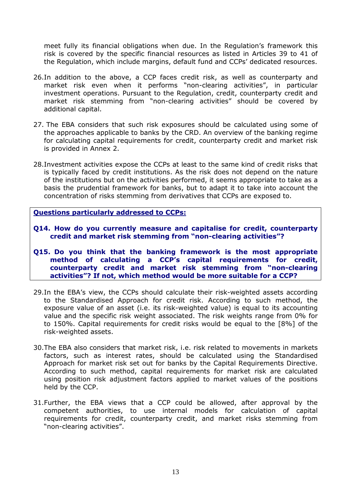meet fully its financial obligations when due. In the Regulation's framework this risk is covered by the specific financial resources as listed in Articles 39 to 41 of the Regulation, which include margins, default fund and CCPs' dedicated resources.

- 26.In addition to the above, a CCP faces credit risk, as well as counterparty and market risk even when it performs "non-clearing activities", in particular investment operations. Pursuant to the Regulation, credit, counterparty credit and market risk stemming from "non-clearing activities" should be covered by additional capital.
- 27. The EBA considers that such risk exposures should be calculated using some of the approaches applicable to banks by the CRD. An overview of the banking regime for calculating capital requirements for credit, counterparty credit and market risk is provided in Annex 2.
- 28.Investment activities expose the CCPs at least to the same kind of credit risks that is typically faced by credit institutions. As the risk does not depend on the nature of the institutions but on the activities performed, it seems appropriate to take as a basis the prudential framework for banks, but to adapt it to take into account the concentration of risks stemming from derivatives that CCPs are exposed to.

**Questions particularly addressed to CCPs:**

- **Q14. How do you currently measure and capitalise for credit, counterparty credit and market risk stemming from "non-clearing activities"?**
- **Q15. Do you think that the banking framework is the most appropriate method of calculating a CCP's capital requirements for credit, counterparty credit and market risk stemming from "non-clearing activities"? If not, which method would be more suitable for a CCP?**
- 29.In the EBA's view, the CCPs should calculate their risk-weighted assets according to the Standardised Approach for credit risk. According to such method, the exposure value of an asset (i.e. its risk-weighted value) is equal to its accounting value and the specific risk weight associated. The risk weights range from 0% for to 150%. Capital requirements for credit risks would be equal to the [8%] of the risk-weighted assets.
- 30.The EBA also considers that market risk, i.e. risk related to movements in markets factors, such as interest rates, should be calculated using the Standardised Approach for market risk set out for banks by the Capital Requirements Directive. According to such method, capital requirements for market risk are calculated using position risk adjustment factors applied to market values of the positions held by the CCP.
- 31.Further, the EBA views that a CCP could be allowed, after approval by the competent authorities, to use internal models for calculation of capital requirements for credit, counterparty credit, and market risks stemming from "non-clearing activities".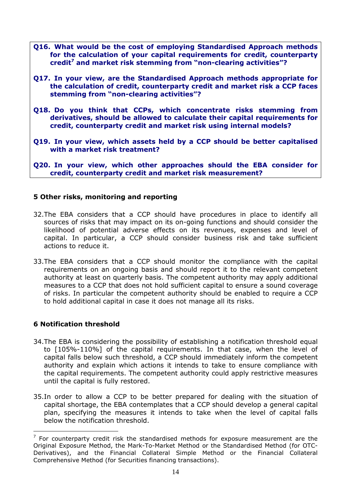- **Q16. What would be the cost of employing Standardised Approach methods for the calculation of your capital requirements for credit, counterparty credit<sup>7</sup> and market risk stemming from "non-clearing activities"?**
- **Q17. In your view, are the Standardised Approach methods appropriate for the calculation of credit, counterparty credit and market risk a CCP faces stemming from "non-clearing activities"?**
- **Q18. Do you think that CCPs, which concentrate risks stemming from derivatives, should be allowed to calculate their capital requirements for credit, counterparty credit and market risk using internal models?**
- **Q19. In your view, which assets held by a CCP should be better capitalised with a market risk treatment?**

**Q20. In your view, which other approaches should the EBA consider for credit, counterparty credit and market risk measurement?** 

### **5 Other risks, monitoring and reporting**

- 32.The EBA considers that a CCP should have procedures in place to identify all sources of risks that may impact on its on-going functions and should consider the likelihood of potential adverse effects on its revenues, expenses and level of capital. In particular, a CCP should consider business risk and take sufficient actions to reduce it.
- 33.The EBA considers that a CCP should monitor the compliance with the capital requirements on an ongoing basis and should report it to the relevant competent authority at least on quarterly basis. The competent authority may apply additional measures to a CCP that does not hold sufficient capital to ensure a sound coverage of risks. In particular the competent authority should be enabled to require a CCP to hold additional capital in case it does not manage all its risks.

#### **6 Notification threshold**

 $\overline{a}$ 

- 34.The EBA is considering the possibility of establishing a notification threshold equal to [105%-110%] of the capital requirements. In that case, when the level of capital falls below such threshold, a CCP should immediately inform the competent authority and explain which actions it intends to take to ensure compliance with the capital requirements. The competent authority could apply restrictive measures until the capital is fully restored.
- 35.In order to allow a CCP to be better prepared for dealing with the situation of capital shortage, the EBA contemplates that a CCP should develop a general capital plan, specifying the measures it intends to take when the level of capital falls below the notification threshold.

 $7$  For counterparty credit risk the standardised methods for exposure measurement are the Original Exposure Method, the Mark-To-Market Method or the Standardised Method (for OTC-Derivatives), and the Financial Collateral Simple Method or the Financial Collateral Comprehensive Method (for Securities financing transactions).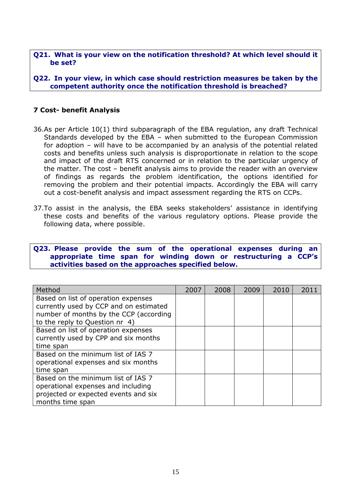#### **Q21. What is your view on the notification threshold? At which level should it be set?**

**Q22. In your view, in which case should restriction measures be taken by the competent authority once the notification threshold is breached?** 

### **7 Cost- benefit Analysis**

- 36.As per Article 10(1) third subparagraph of the EBA regulation, any draft Technical Standards developed by the EBA – when submitted to the European Commission for adoption – will have to be accompanied by an analysis of the potential related costs and benefits unless such analysis is disproportionate in relation to the scope and impact of the draft RTS concerned or in relation to the particular urgency of the matter. The cost – benefit analysis aims to provide the reader with an overview of findings as regards the problem identification, the options identified for removing the problem and their potential impacts. Accordingly the EBA will carry out a cost-benefit analysis and impact assessment regarding the RTS on CCPs.
- 37.To assist in the analysis, the EBA seeks stakeholders' assistance in identifying these costs and benefits of the various regulatory options. Please provide the following data, where possible.

#### **Q23. Please provide the sum of the operational expenses during an appropriate time span for winding down or restructuring a CCP's activities based on the approaches specified below.**

| Method                                 | 2007 | 2008 | 2009 | 2010 | 2011 |
|----------------------------------------|------|------|------|------|------|
| Based on list of operation expenses    |      |      |      |      |      |
| currently used by CCP and on estimated |      |      |      |      |      |
| number of months by the CCP (according |      |      |      |      |      |
| to the reply to Question nr 4)         |      |      |      |      |      |
| Based on list of operation expenses    |      |      |      |      |      |
| currently used by CPP and six months   |      |      |      |      |      |
| time span                              |      |      |      |      |      |
| Based on the minimum list of IAS 7     |      |      |      |      |      |
| operational expenses and six months    |      |      |      |      |      |
| time span                              |      |      |      |      |      |
| Based on the minimum list of IAS 7     |      |      |      |      |      |
| operational expenses and including     |      |      |      |      |      |
| projected or expected events and six   |      |      |      |      |      |
| months time span                       |      |      |      |      |      |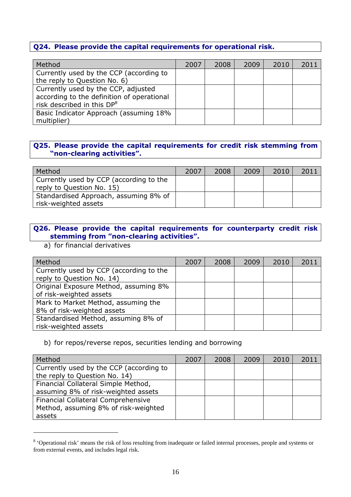### **Q24. Please provide the capital requirements for operational risk.**

| Method                                     | 2007 | 2008 | 2009 | 2010 | 2011 |
|--------------------------------------------|------|------|------|------|------|
| Currently used by the CCP (according to    |      |      |      |      |      |
| the reply to Question No. 6)               |      |      |      |      |      |
| Currently used by the CCP, adjusted        |      |      |      |      |      |
| according to the definition of operational |      |      |      |      |      |
| risk described in this DP <sup>8</sup>     |      |      |      |      |      |
| Basic Indicator Approach (assuming 18%     |      |      |      |      |      |
| multiplier)                                |      |      |      |      |      |

### **Q25. Please provide the capital requirements for credit risk stemming from "non-clearing activities".**

| Method                                                               | 2007 | 2008 | 2009 | 2010 | 2011 |
|----------------------------------------------------------------------|------|------|------|------|------|
| Currently used by CCP (according to the<br>reply to Question No. 15) |      |      |      |      |      |
| Standardised Approach, assuming 8% of<br>risk-weighted assets        |      |      |      |      |      |

## **Q26. Please provide the capital requirements for counterparty credit risk stemming from "non-clearing activities".**

a) for financial derivatives

 $\overline{a}$ 

| Method                                  | 2007 | 2008 | 2009 | 2010 | 2011 |
|-----------------------------------------|------|------|------|------|------|
| Currently used by CCP (according to the |      |      |      |      |      |
| reply to Question No. 14)               |      |      |      |      |      |
| Original Exposure Method, assuming 8%   |      |      |      |      |      |
| of risk-weighted assets                 |      |      |      |      |      |
| Mark to Market Method, assuming the     |      |      |      |      |      |
| 8% of risk-weighted assets              |      |      |      |      |      |
| Standardised Method, assuming 8% of     |      |      |      |      |      |
| risk-weighted assets                    |      |      |      |      |      |

#### b) for repos/reverse repos, securities lending and borrowing

| Method                                    | 2007 | 2008 | 2009 | 2010 | 2011 |
|-------------------------------------------|------|------|------|------|------|
| Currently used by the CCP (according to   |      |      |      |      |      |
| the reply to Question No. 14)             |      |      |      |      |      |
| Financial Collateral Simple Method,       |      |      |      |      |      |
| assuming 8% of risk-weighted assets       |      |      |      |      |      |
| <b>Financial Collateral Comprehensive</b> |      |      |      |      |      |
| Method, assuming 8% of risk-weighted      |      |      |      |      |      |
| assets                                    |      |      |      |      |      |

<sup>&</sup>lt;sup>8</sup> 'Operational risk' means the risk of loss resulting from inadequate or failed internal processes, people and systems or from external events, and includes legal risk.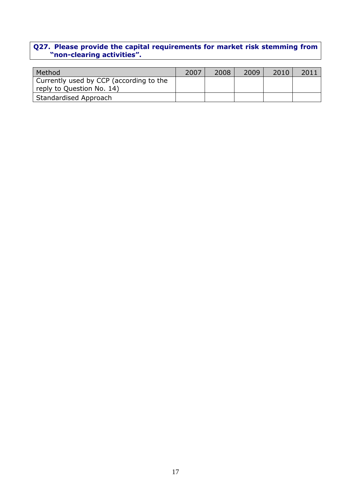#### **Q27. Please provide the capital requirements for market risk stemming from "non-clearing activities".**

| Method                                                               | 2007 | 2008 | 2009 | 2010 | 201: |
|----------------------------------------------------------------------|------|------|------|------|------|
| Currently used by CCP (according to the<br>reply to Question No. 14) |      |      |      |      |      |
|                                                                      |      |      |      |      |      |
| Standardised Approach                                                |      |      |      |      |      |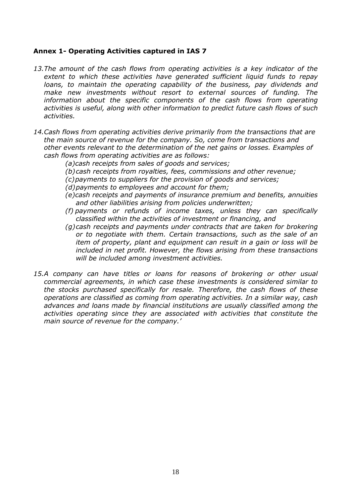### **Annex 1- Operating Activities captured in IAS 7**

- *13.The amount of the cash flows from operating activities is a key indicator of the extent to which these activities have generated sufficient liquid funds to repay loans, to maintain the operating capability of the business, pay dividends and make new investments without resort to external sources of funding. The*  information about the specific components of the cash flows from operating *activities is useful, along with other information to predict future cash flows of such activities.*
- *14.Cash flows from operating activities derive primarily from the transactions that are the main source of revenue for the company. So, come from transactions and other events relevant to the determination of the net gains or losses. Examples of cash flows from operating activities are as follows:* 
	- *(a)cash receipts from sales of goods and services;*
	- *(b)cash receipts from royalties, fees, commissions and other revenue;*
	- *(c)payments to suppliers for the provision of goods and services;*
	- *(d)payments to employees and account for them;*
	- *(e)cash receipts and payments of insurance premium and benefits, annuities and other liabilities arising from policies underwritten;*
	- *(f) payments or refunds of income taxes, unless they can specifically classified within the activities of investment or financing, and*
	- *(g)cash receipts and payments under contracts that are taken for brokering or to negotiate with them. Certain transactions, such as the sale of an item of property, plant and equipment can result in a gain or loss will be included in net profit. However, the flows arising from these transactions will be included among investment activities.*
- *15.A company can have titles or loans for reasons of brokering or other usual commercial agreements, in which case these investments is considered similar to the stocks purchased specifically for resale. Therefore, the cash flows of these operations are classified as coming from operating activities. In a similar way, cash advances and loans made by financial institutions are usually classified among the activities operating since they are associated with activities that constitute the main source of revenue for the company.'*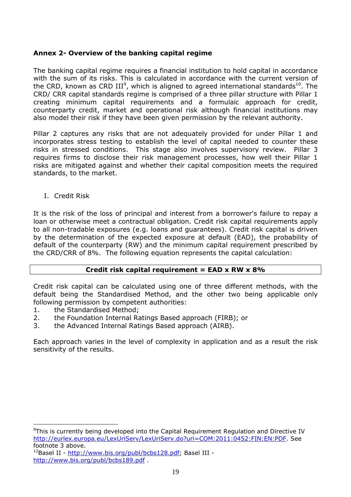### **Annex 2- Overview of the banking capital regime**

The banking capital regime requires a financial institution to hold capital in accordance with the sum of its risks. This is calculated in accordance with the current version of the CRD, known as CRD III<sup>9</sup>, which is aligned to agreed international standards<sup>10</sup>. The CRD/ CRR capital standards regime is comprised of a three pillar structure with Pillar 1 creating minimum capital requirements and a formulaic approach for credit, counterparty credit, market and operational risk although financial institutions may also model their risk if they have been given permission by the relevant authority.

Pillar 2 captures any risks that are not adequately provided for under Pillar 1 and incorporates stress testing to establish the level of capital needed to counter these risks in stressed conditions. This stage also involves supervisory review. Pillar 3 requires firms to disclose their risk management processes, how well their Pillar 1 risks are mitigated against and whether their capital composition meets the required standards, to the market.

I. Credit Risk

It is the risk of the loss of principal and interest from a borrower's failure to repay a loan or otherwise meet a contractual obligation. Credit risk capital requirements apply to all non-tradable exposures (e.g. loans and guarantees). Credit risk capital is driven by the determination of the expected exposure at default (EAD), the probability of default of the counterparty (RW) and the minimum capital requirement prescribed by the CRD/CRR of 8%. The following equation represents the capital calculation:

### **Credit risk capital requirement = EAD x RW x 8%**

Credit risk capital can be calculated using one of three different methods, with the default being the Standardised Method, and the other two being applicable only following permission by competent authorities:

1. the Standardised Method;

 $\overline{a}$ 

- 2. the Foundation Internal Ratings Based approach (FIRB); or
- 3. the Advanced Internal Ratings Based approach (AIRB).

Each approach varies in the level of complexity in application and as a result the risk sensitivity of the results.

<sup>9</sup>This is currently being developed into the Capital Requirement Regulation and Directive IV http://eurlex.europa.eu/LexUriServ/LexUriServ.do?uri=COM:2011:0452:FIN:EN:PDF. See footnote 3 above.

 $^{12}$ Basel II - http://www.bis.org/publ/bcbs128.pdf; Basel III http://www.bis.org/publ/bcbs189.pdf .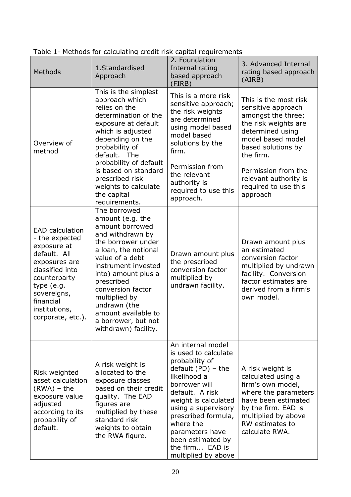| Methods                                                                                                                                                                                                     | 1.Standardised<br>Approach                                                                                                                                                                                                                                                                                                       | 2. Foundation<br>Internal rating<br>based approach<br>(FIRB)                                                                                                                                                                                                                                                 | 3. Advanced Internal<br>rating based approach<br>(AIRB)                                                                                                                                       |
|-------------------------------------------------------------------------------------------------------------------------------------------------------------------------------------------------------------|----------------------------------------------------------------------------------------------------------------------------------------------------------------------------------------------------------------------------------------------------------------------------------------------------------------------------------|--------------------------------------------------------------------------------------------------------------------------------------------------------------------------------------------------------------------------------------------------------------------------------------------------------------|-----------------------------------------------------------------------------------------------------------------------------------------------------------------------------------------------|
| Overview of<br>method                                                                                                                                                                                       | This is the simplest<br>approach which<br>relies on the<br>determination of the<br>exposure at default<br>which is adjusted<br>depending on the<br>probability of<br>default. The                                                                                                                                                | This is a more risk<br>sensitive approach;<br>the risk weights<br>are determined<br>using model based<br>model based<br>solutions by the<br>firm.                                                                                                                                                            | This is the most risk<br>sensitive approach<br>amongst the three;<br>the risk weights are<br>determined using<br>model based model<br>based solutions by<br>the firm.                         |
|                                                                                                                                                                                                             | probability of default<br>is based on standard<br>prescribed risk<br>weights to calculate<br>the capital<br>requirements.                                                                                                                                                                                                        | Permission from<br>the relevant<br>authority is<br>required to use this<br>approach.                                                                                                                                                                                                                         | Permission from the<br>relevant authority is<br>required to use this<br>approach                                                                                                              |
| <b>EAD</b> calculation<br>- the expected<br>exposure at<br>default. All<br>exposures are<br>classified into<br>counterparty<br>type (e.g.<br>sovereigns,<br>financial<br>institutions,<br>corporate, etc.). | The borrowed<br>amount (e.g. the<br>amount borrowed<br>and withdrawn by<br>the borrower under<br>a loan, the notional<br>value of a debt<br>instrument invested<br>into) amount plus a<br>prescribed<br>conversion factor<br>multiplied by<br>undrawn (the<br>amount available to<br>a borrower, but not<br>withdrawn) facility. | Drawn amount plus<br>the prescribed<br>conversion factor<br>multiplied by<br>undrawn facility.                                                                                                                                                                                                               | Drawn amount plus<br>an estimated<br>conversion factor<br>multiplied by undrawn<br>facility. Conversion<br>factor estimates are<br>derived from a firm's<br>own model.                        |
| Risk weighted<br>asset calculation<br>$(RWA) - the$<br>exposure value<br>adjusted<br>according to its<br>probability of<br>default.                                                                         | A risk weight is<br>allocated to the<br>exposure classes<br>based on their credit<br>quality. The EAD<br>figures are<br>multiplied by these<br>standard risk<br>weights to obtain<br>the RWA figure.                                                                                                                             | An internal model<br>is used to calculate<br>probability of<br>default $(PD)$ – the<br>likelihood a<br>borrower will<br>default. A risk<br>weight is calculated<br>using a supervisory<br>prescribed formula,<br>where the<br>parameters have<br>been estimated by<br>the firm EAD is<br>multiplied by above | A risk weight is<br>calculated using a<br>firm's own model,<br>where the parameters<br>have been estimated<br>by the firm. EAD is<br>multiplied by above<br>RW estimates to<br>calculate RWA. |

Table 1- Methods for calculating credit risk capital requirements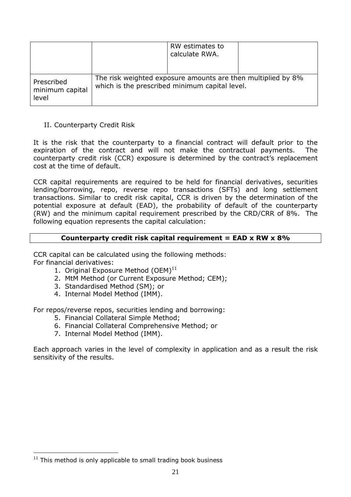|                                        |                                                                                                                | RW estimates to<br>calculate RWA. |  |
|----------------------------------------|----------------------------------------------------------------------------------------------------------------|-----------------------------------|--|
| Prescribed<br>minimum capital<br>level | The risk weighted exposure amounts are then multiplied by 8%<br>which is the prescribed minimum capital level. |                                   |  |

### II. Counterparty Credit Risk

It is the risk that the counterparty to a financial contract will default prior to the expiration of the contract and will not make the contractual payments. The counterparty credit risk (CCR) exposure is determined by the contract's replacement cost at the time of default.

CCR capital requirements are required to be held for financial derivatives, securities lending/borrowing, repo, reverse repo transactions (SFTs) and long settlement transactions. Similar to credit risk capital, CCR is driven by the determination of the potential exposure at default (EAD), the probability of default of the counterparty (RW) and the minimum capital requirement prescribed by the CRD/CRR of 8%. The following equation represents the capital calculation:

### **Counterparty credit risk capital requirement = EAD x RW x 8%**

CCR capital can be calculated using the following methods: For financial derivatives:

- 1. Original Exposure Method  $(OEM)^{11}$
- 2. MtM Method (or Current Exposure Method; CEM);
- 3. Standardised Method (SM); or
- 4. Internal Model Method (IMM).

For repos/reverse repos, securities lending and borrowing:

- 5. Financial Collateral Simple Method;
- 6. Financial Collateral Comprehensive Method; or
- 7. Internal Model Method (IMM).

Each approach varies in the level of complexity in application and as a result the risk sensitivity of the results.

 $\overline{a}$  $11$  This method is only applicable to small trading book business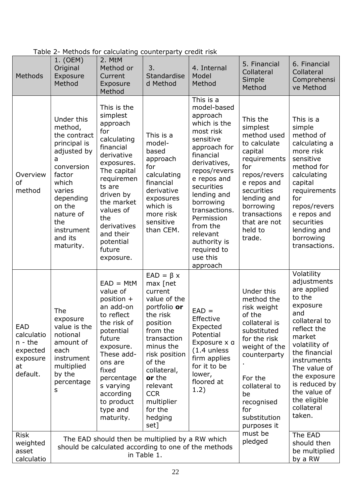| Methods                                                                  | 1. (OEM)<br>Original<br>Exposure<br>Method                                                                                                                                                            | 2. MtM<br>Method or<br>Current<br>Exposure<br>Method                                                                                                                                                                                                     | 3.<br>Standardise<br>d Method                                                                                                                                                                                                                                    | 4. Internal<br>Model<br>Method                                                                                                                                                                                                                                                                                     | 5. Financial<br>Collateral<br>Simple<br>Method                                                                                                                                                                           | 6. Financial<br>Collateral<br>Comprehensi<br>ve Method                                                                                                                                                                                                                    |
|--------------------------------------------------------------------------|-------------------------------------------------------------------------------------------------------------------------------------------------------------------------------------------------------|----------------------------------------------------------------------------------------------------------------------------------------------------------------------------------------------------------------------------------------------------------|------------------------------------------------------------------------------------------------------------------------------------------------------------------------------------------------------------------------------------------------------------------|--------------------------------------------------------------------------------------------------------------------------------------------------------------------------------------------------------------------------------------------------------------------------------------------------------------------|--------------------------------------------------------------------------------------------------------------------------------------------------------------------------------------------------------------------------|---------------------------------------------------------------------------------------------------------------------------------------------------------------------------------------------------------------------------------------------------------------------------|
| Overview<br>of<br>method                                                 | Under this<br>method,<br>the contract<br>principal is<br>adjusted by<br>a<br>conversion<br>factor<br>which<br>varies<br>depending<br>on the<br>nature of<br>the<br>instrument<br>and its<br>maturity. | This is the<br>simplest<br>approach<br>for<br>calculating<br>financial<br>derivative<br>exposures.<br>The capital<br>requiremen<br>ts are<br>driven by<br>the market<br>values of<br>the<br>derivatives<br>and their<br>potential<br>future<br>exposure. | This is a<br>model-<br>based<br>approach<br>for<br>calculating<br>financial<br>derivative<br>exposures<br>which is<br>more risk<br>sensitive<br>than CEM.                                                                                                        | This is a<br>model-based<br>approach<br>which is the<br>most risk<br>sensitive<br>approach for<br>financial<br>derivatives,<br>repos/revers<br>e repos and<br>securities<br>lending and<br>borrowing<br>transactions.<br>Permission<br>from the<br>relevant<br>authority is<br>required to<br>use this<br>approach | This the<br>simplest<br>method used<br>to calculate<br>capital<br>requirements<br>for<br>repos/revers<br>e repos and<br>securities<br>lending and<br>borrowing<br>transactions<br>that are not<br>held to<br>trade.      | This is a<br>simple<br>method of<br>calculating a<br>more risk<br>sensitive<br>method for<br>calculating<br>capital<br>requirements<br>for<br>repos/revers<br>e repos and<br>securities<br>lending and<br>borrowing<br>transactions.                                      |
| EAD<br>calculatio<br>$n - the$<br>expected<br>exposure<br>at<br>default. | The<br>exposure<br>value is the<br>notional<br>amount of<br>each<br>instrument<br>multiplied<br>by the<br>percentage<br>s                                                                             | $EAD = MtM$<br>value of<br>position +<br>an add-on<br>to reflect<br>the risk of<br>potential<br>future<br>exposure.<br>These add-<br>ons are<br>fixed<br>percentage<br>s varying<br>according<br>to product<br>type and<br>maturity.                     | $EAD = \beta x$<br>max [net<br>current<br>value of the<br>portfolio or<br>the risk<br>position<br>from the<br>transaction<br>minus the<br>risk position<br>of the<br>collateral,<br>or the<br>relevant<br><b>CCR</b><br>multiplier<br>for the<br>hedging<br>set] | $EAD =$<br>Effective<br>Expected<br>Potential<br>Exposure x a<br>$(1.4$ unless<br>firm applies<br>for it to be<br>lower,<br>floored at<br>1.2)                                                                                                                                                                     | Under this<br>method the<br>risk weight<br>of the<br>collateral is<br>substituted<br>for the risk<br>weight of the<br>counterparty<br>For the<br>collateral to<br>be<br>recognised<br>for<br>substitution<br>purposes it | Volatility<br>adjustments<br>are applied<br>to the<br>exposure<br>and<br>collateral to<br>reflect the<br>market<br>volatility of<br>the financial<br>instruments<br>The value of<br>the exposure<br>is reduced by<br>the value of<br>the eligible<br>collateral<br>taken. |
| <b>Risk</b><br>weighted<br>asset<br>calculatio                           | The EAD should then be multiplied by a RW which<br>should be calculated according to one of the methods<br>in Table 1.                                                                                |                                                                                                                                                                                                                                                          |                                                                                                                                                                                                                                                                  | must be<br>pledged                                                                                                                                                                                                                                                                                                 | The EAD<br>should then<br>be multiplied<br>by a RW                                                                                                                                                                       |                                                                                                                                                                                                                                                                           |

# Table 2- Methods for calculating counterparty credit risk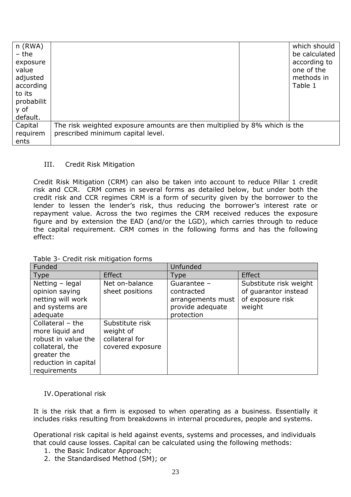| $n$ (RWA)<br>- the<br>exposure<br>value<br>adjusted<br>according<br>to its<br>probabilit<br>y of<br>default. |                                                                           | which should<br>be calculated<br>according to<br>one of the<br>methods in<br>Table 1 |
|--------------------------------------------------------------------------------------------------------------|---------------------------------------------------------------------------|--------------------------------------------------------------------------------------|
| Capital                                                                                                      | The risk weighted exposure amounts are then multiplied by 8% which is the |                                                                                      |
| requirem                                                                                                     | prescribed minimum capital level.                                         |                                                                                      |
| ents                                                                                                         |                                                                           |                                                                                      |

#### III. Credit Risk Mitigation

Credit Risk Mitigation (CRM) can also be taken into account to reduce Pillar 1 credit risk and CCR. CRM comes in several forms as detailed below, but under both the credit risk and CCR regimes CRM is a form of security given by the borrower to the lender to lessen the lender's risk, thus reducing the borrower's interest rate or repayment value. Across the two regimes the CRM received reduces the exposure figure and by extension the EAD (and/or the LGD), which carries through to reduce the capital requirement. CRM comes in the following forms and has the following effect:

| Funded                                                                                                                                 |                                                                    | Unfunded                                                                         |                                                                              |  |
|----------------------------------------------------------------------------------------------------------------------------------------|--------------------------------------------------------------------|----------------------------------------------------------------------------------|------------------------------------------------------------------------------|--|
| Type                                                                                                                                   | <b>Effect</b>                                                      | Type                                                                             | <b>Effect</b>                                                                |  |
| Netting - legal<br>opinion saying<br>netting will work<br>and systems are<br>adequate                                                  | Net on-balance<br>sheet positions                                  | Guarantee -<br>contracted<br>arrangements must<br>provide adequate<br>protection | Substitute risk weight<br>of quarantor instead<br>of exposure risk<br>weight |  |
| Collateral $-$ the<br>more liquid and<br>robust in value the<br>collateral, the<br>greater the<br>reduction in capital<br>requirements | Substitute risk<br>weight of<br>collateral for<br>covered exposure |                                                                                  |                                                                              |  |

Table 3- Credit risk mitigation forms

IV.Operational risk

It is the risk that a firm is exposed to when operating as a business. Essentially it includes risks resulting from breakdowns in internal procedures, people and systems.

Operational risk capital is held against events, systems and processes, and individuals that could cause losses. Capital can be calculated using the following methods:

- 1. the Basic Indicator Approach;
- 2. the Standardised Method (SM); or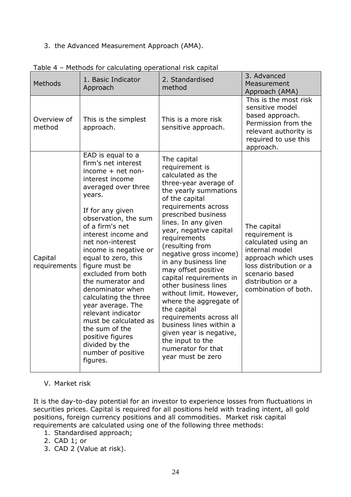### 3. the Advanced Measurement Approach (AMA).

| Methods                 | 1. Basic Indicator<br>Approach                                                                                                                                                                                                                                                                                                                                                                                                                                                                                                                      | 2. Standardised<br>method                                                                                                                                                                                                                                                                                                                                                                                                                                                                                                                                                                                | 3. Advanced<br>Measurement<br>Approach (AMA)                                                                                                                                           |
|-------------------------|-----------------------------------------------------------------------------------------------------------------------------------------------------------------------------------------------------------------------------------------------------------------------------------------------------------------------------------------------------------------------------------------------------------------------------------------------------------------------------------------------------------------------------------------------------|----------------------------------------------------------------------------------------------------------------------------------------------------------------------------------------------------------------------------------------------------------------------------------------------------------------------------------------------------------------------------------------------------------------------------------------------------------------------------------------------------------------------------------------------------------------------------------------------------------|----------------------------------------------------------------------------------------------------------------------------------------------------------------------------------------|
| Overview of<br>method   | This is the simplest<br>approach.                                                                                                                                                                                                                                                                                                                                                                                                                                                                                                                   | This is a more risk<br>sensitive approach.                                                                                                                                                                                                                                                                                                                                                                                                                                                                                                                                                               | This is the most risk<br>sensitive model<br>based approach.<br>Permission from the<br>relevant authority is<br>required to use this<br>approach.                                       |
| Capital<br>requirements | EAD is equal to a<br>firm's net interest<br>income + net non-<br>interest income<br>averaged over three<br>years.<br>If for any given<br>observation, the sum<br>of a firm's net<br>interest income and<br>net non-interest<br>income is negative or<br>equal to zero, this<br>figure must be<br>excluded from both<br>the numerator and<br>denominator when<br>calculating the three<br>year average. The<br>relevant indicator<br>must be calculated as<br>the sum of the<br>positive figures<br>divided by the<br>number of positive<br>figures. | The capital<br>requirement is<br>calculated as the<br>three-year average of<br>the yearly summations<br>of the capital<br>requirements across<br>prescribed business<br>lines. In any given<br>year, negative capital<br>requirements<br>(resulting from<br>negative gross income)<br>in any business line<br>may offset positive<br>capital requirements in<br>other business lines<br>without limit. However,<br>where the aggregate of<br>the capital<br>requirements across all<br>business lines within a<br>given year is negative,<br>the input to the<br>numerator for that<br>year must be zero | The capital<br>requirement is<br>calculated using an<br>internal model<br>approach which uses<br>loss distribution or a<br>scenario based<br>distribution or a<br>combination of both. |

| Table 4 - Methods for calculating operational risk capital |  |
|------------------------------------------------------------|--|
|------------------------------------------------------------|--|

### V. Market risk

It is the day-to-day potential for an investor to experience losses from fluctuations in securities prices. Capital is required for all positions held with trading intent, all gold positions, foreign currency positions and all commodities. Market risk capital requirements are calculated using one of the following three methods:

- 1. Standardised approach;
- 2. CAD 1; or
- 3. CAD 2 (Value at risk).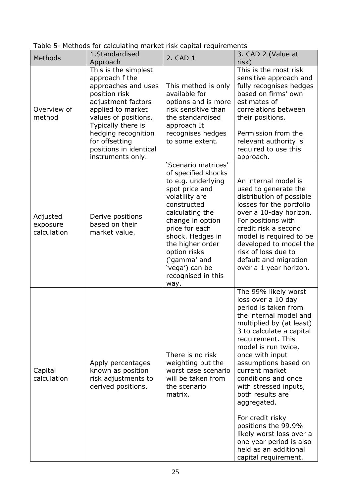| Methods                             | 1.Standardised<br>Approach                                                                                                                                                                                                                                      | 2. CAD 1                                                                                                                                                                                                                                                                                             | 3. CAD 2 (Value at<br>risk)                                                                                                                                                                                                                                                                                                                                                                                                                                                                         |
|-------------------------------------|-----------------------------------------------------------------------------------------------------------------------------------------------------------------------------------------------------------------------------------------------------------------|------------------------------------------------------------------------------------------------------------------------------------------------------------------------------------------------------------------------------------------------------------------------------------------------------|-----------------------------------------------------------------------------------------------------------------------------------------------------------------------------------------------------------------------------------------------------------------------------------------------------------------------------------------------------------------------------------------------------------------------------------------------------------------------------------------------------|
| Overview of<br>method               | This is the simplest<br>approach f the<br>approaches and uses<br>position risk<br>adjustment factors<br>applied to market<br>values of positions.<br>Typically there is<br>hedging recognition<br>for offsetting<br>positions in identical<br>instruments only. | This method is only<br>available for<br>options and is more<br>risk sensitive than<br>the standardised<br>approach It<br>recognises hedges<br>to some extent.                                                                                                                                        | This is the most risk<br>sensitive approach and<br>fully recognises hedges<br>based on firms' own<br>estimates of<br>correlations between<br>their positions.<br>Permission from the<br>relevant authority is<br>required to use this<br>approach.                                                                                                                                                                                                                                                  |
| Adjusted<br>exposure<br>calculation | Derive positions<br>based on their<br>market value.                                                                                                                                                                                                             | 'Scenario matrices'<br>of specified shocks<br>to e.g. underlying<br>spot price and<br>volatility are<br>constructed<br>calculating the<br>change in option<br>price for each<br>shock. Hedges in<br>the higher order<br>option risks<br>('gamma' and<br>'vega') can be<br>recognised in this<br>way. | An internal model is<br>used to generate the<br>distribution of possible<br>losses for the portfolio<br>over a 10-day horizon.<br>For positions with<br>credit risk a second<br>model is required to be<br>developed to model the<br>risk of loss due to<br>default and migration<br>over a 1 year horizon.                                                                                                                                                                                         |
| Capital<br>calculation              | Apply percentages<br>known as position<br>risk adjustments to<br>derived positions.                                                                                                                                                                             | There is no risk<br>weighting but the<br>worst case scenario<br>will be taken from<br>the scenario<br>matrix.                                                                                                                                                                                        | The 99% likely worst<br>loss over a 10 day<br>period is taken from<br>the internal model and<br>multiplied by (at least)<br>3 to calculate a capital<br>requirement. This<br>model is run twice,<br>once with input<br>assumptions based on<br>current market<br>conditions and once<br>with stressed inputs,<br>both results are<br>aggregated.<br>For credit risky<br>positions the 99.9%<br>likely worst loss over a<br>one year period is also<br>held as an additional<br>capital requirement. |

Table 5- Methods for calculating market risk capital requirements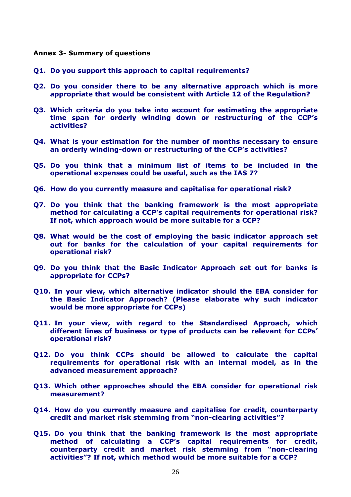#### **Annex 3- Summary of questions**

- **Q1. Do you support this approach to capital requirements?**
- **Q2. Do you consider there to be any alternative approach which is more appropriate that would be consistent with Article 12 of the Regulation?**
- **Q3. Which criteria do you take into account for estimating the appropriate time span for orderly winding down or restructuring of the CCP's activities?**
- **Q4. What is your estimation for the number of months necessary to ensure an orderly winding-down or restructuring of the CCP's activities?**
- **Q5. Do you think that a minimum list of items to be included in the operational expenses could be useful, such as the IAS 7?**
- **Q6. How do you currently measure and capitalise for operational risk?**
- **Q7. Do you think that the banking framework is the most appropriate method for calculating a CCP's capital requirements for operational risk? If not, which approach would be more suitable for a CCP?**
- **Q8. What would be the cost of employing the basic indicator approach set out for banks for the calculation of your capital requirements for operational risk?**
- **Q9. Do you think that the Basic Indicator Approach set out for banks is appropriate for CCPs?**
- **Q10. In your view, which alternative indicator should the EBA consider for the Basic Indicator Approach? (Please elaborate why such indicator would be more appropriate for CCPs)**
- **Q11. In your view, with regard to the Standardised Approach, which different lines of business or type of products can be relevant for CCPs' operational risk?**
- **Q12. Do you think CCPs should be allowed to calculate the capital requirements for operational risk with an internal model, as in the advanced measurement approach?**
- **Q13. Which other approaches should the EBA consider for operational risk measurement?**
- **Q14. How do you currently measure and capitalise for credit, counterparty credit and market risk stemming from "non-clearing activities"?**
- **Q15. Do you think that the banking framework is the most appropriate method of calculating a CCP's capital requirements for credit, counterparty credit and market risk stemming from "non-clearing activities"? If not, which method would be more suitable for a CCP?**